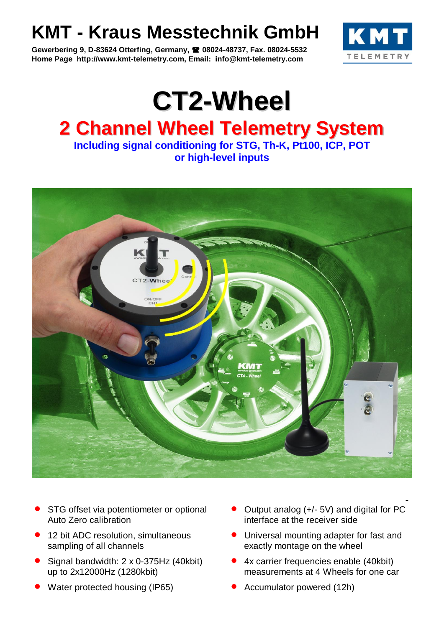## **KMT - Kraus Messtechnik GmbH**

**Gewerbering 9, D-83624 Otterfing, Germany, 08024-48737, Fax. 08024-5532 Home Page http://www.kmt-telemetry.com, Email: info@kmt-telemetry.com**



## **CT2-Wheel 2 Channel Wheel Telemetry System**

**Including signal conditioning for STG, Th-K, Pt100, ICP, POT or high-level inputs**



- STG offset via potentiometer or optional Auto Zero calibration
- 12 bit ADC resolution, simultaneous sampling of all channels
- Signal bandwidth: 2 x 0-375Hz (40kbit) up to 2x12000Hz (1280kbit)
- Water protected housing (IP65) **CONCO Accumulator powered (12h)**
- Output analog (+/- 5V) and digital for PC interface at the receiver side
- Universal mounting adapter for fast and exactly montage on the wheel
- 4x carrier frequencies enable (40kbit) measurements at 4 Wheels for one car
	-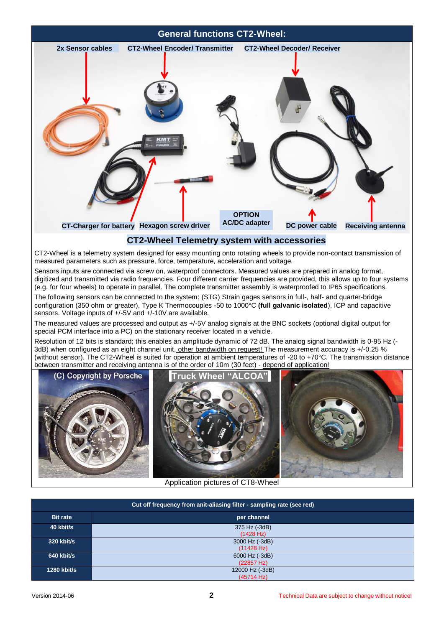# **General functions CT2-Wheel:** 2x Sensor cables **CT2-Wheel Encoder/ Transmitter** CT2-Wheel Decoder/ Receiver **Hexagon screw driver DC power cable CT-Charger for battery Receiving antenna OPTION AC/DC adapter**

#### **CT2-Wheel Telemetry system with accessories**

CT2-Wheel is a telemetry system designed for easy mounting onto rotating wheels to provide non-contact transmission of measured parameters such as pressure, force, temperature, acceleration and voltage.

Sensors inputs are connected via screw on, waterproof connectors. Measured values are prepared in analog format, digitized and transmitted via radio frequencies. Four different carrier frequencies are provided, this allows up to four systems (e.g. for four wheels) to operate in parallel. The complete transmitter assembly is waterproofed to IP65 specifications.

The following sensors can be connected to the system: (STG) Strain gages sensors in full-, half- and quarter-bridge configuration (350 ohm or greater), Type K Thermocouples -50 to 1000°C **(full galvanic isolated**), ICP and capacitive sensors. Voltage inputs of +/-5V and +/-10V are available.

The measured values are processed and output as +/-5V analog signals at the BNC sockets (optional digital output for special PCM interface into a PC) on the stationary receiver located in a vehicle.

Resolution of 12 bits is standard; this enables an amplitude dynamic of 72 dB. The analog signal bandwidth is 0-95 Hz (- 3dB) when configured as an eight channel unit, other bandwidth on request! The measurement accuracy is +/-0.25 % (without sensor). The CT2-Wheel is suited for operation at ambient temperatures of -20 to +70°C. The transmission distance between transmitter and receiving antenna is of the order of 10m (30 feet) - depend of application!



| Cut off frequency from anit-aliasing filter - sampling rate (see red) |                               |  |  |
|-----------------------------------------------------------------------|-------------------------------|--|--|
| <b>Bit rate</b>                                                       | per channel                   |  |  |
| 40 kbit/s                                                             | 375 Hz (-3dB)<br>(1428 Hz)    |  |  |
| 320 kbit/s                                                            | 3000 Hz (-3dB)<br>(11428 Hz)  |  |  |
| 640 kbit/s                                                            | 6000 Hz (-3dB)<br>(22857 Hz)  |  |  |
| <b>1280 kbit/s</b>                                                    | 12000 Hz (-3dB)<br>(45714 Hz) |  |  |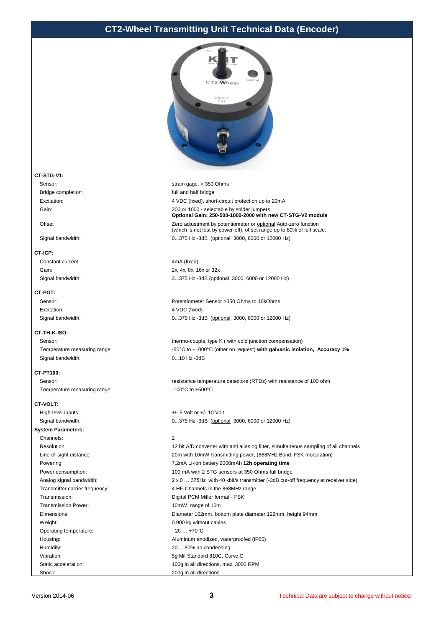#### **CT2-Wheel Transmitting Unit Technical Data (Encoder)**



#### **CT-STG-V1:**

Sensor: strain gage, > 350 Ohms Bridge completion: **full and half bridge** 

#### **CT-ICP:**

Constant current: 4mA (fixed)

#### **CT-POT:**

Excitation: 4 VDC (fixed)

#### **CT-TH-K-ISO:**

Signal bandwidth: 0...10 Hz -3dB

#### **CT-PT100:**

Temperature measuring range:  $-100^{\circ}$ C to +500°C

#### **CT-VOLT:**

High-level inputs:  $+/-5$  Volt or  $+/-10$  Volt **System Parameters:** Channels: 2 Transmission Power: 10mW, range of 10m Weight: 0.900 kg without cables Operating temperature:  $-20...+70^{\circ}$ C Humidity: 20 ... 80% no condensing

Excitation: 4 VDC (fixed), short-circuit protection up to 20mA Gain: 200 or 1000 - selectable by solder jumpers **Optional Gain: 250-500-1000-2000 with new CT-STG-V2 module** Offset 2002 Cero adjustment by potentiometer or optional Auto-zero function (which is not lost by power-off), offset range up to 80% of full scale. Signal bandwidth: 0...375 Hz -3dB (optional 3000, 6000 or 12000 Hz)

Gain: 2x, 4x, 8x, 16x or 32x Signal bandwidth: 3...375 Hz -3dB (optional 3000, 6000 or 12000 Hz)

Sensor: Potentiometer Sensor >350 Ohms to 10kOhms Signal bandwidth: 0...375 Hz -3dB (optional 3000, 6000 or 12000 Hz)

Sensor: thermo-couple, type K ( with cold junction compensation) Temperature measuring range:  $-50^{\circ}$ C to +1000°C (other on request) with galvanic isolation, Accuracy 1%

Sensor: **resistance temperature detectors (RTDs)** with resistance of 100 ohm

Signal bandwidth: 0...375 Hz -3dB (optional 3000, 6000 or 12000 Hz)

Resolution: 12 bit A/D converter with anti aliasing filter, simultaneous sampling of all channels Line-of-sight distance: 20m with 10mW transmitting power, (868MHz Band, FSK modulation) Powering: 7.2mA Li-Ion battery 2000mAh **12h operating time** Power consumption: 100 mA with 2 STG sensors at 350 Ohms full bridge Analog signal bandwidth: 2 x 0 ... 375Hz with 40 kbit/s transmitter (-3dB cut-off frequency at receiver side) Transmitter carrier frequency: 4 HF-Channels in the 868MHz range Transmission: Transmission: Transmission: Digital PCM Miller format - FSK Dimensions: Diameter 102mm, bottom plate diameter 122mm, height 94mm Housing: Aluminum anodized, waterproofed (IP65) Vibration: 5g Mil Standard 810C, Curve C Static acceleration: 100g in all directions, max. 3000 RPM Shock: 200g in all directions